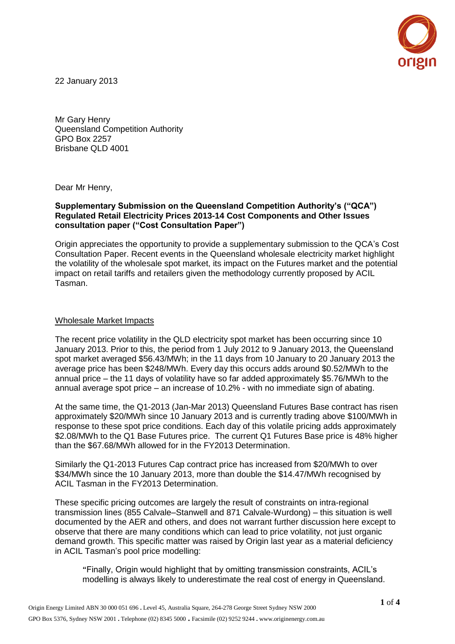

22 January 2013

Mr Gary Henry Queensland Competition Authority GPO Box 2257 Brisbane QLD 4001

Dear Mr Henry,

## **Supplementary Submission on the Queensland Competition Authority's ("QCA") Regulated Retail Electricity Prices 2013-14 Cost Components and Other Issues consultation paper ("Cost Consultation Paper")**

Origin appreciates the opportunity to provide a supplementary submission to the QCA's Cost Consultation Paper. Recent events in the Queensland wholesale electricity market highlight the volatility of the wholesale spot market, its impact on the Futures market and the potential impact on retail tariffs and retailers given the methodology currently proposed by ACIL Tasman.

## Wholesale Market Impacts

The recent price volatility in the QLD electricity spot market has been occurring since 10 January 2013. Prior to this, the period from 1 July 2012 to 9 January 2013, the Queensland spot market averaged \$56.43/MWh; in the 11 days from 10 January to 20 January 2013 the average price has been \$248/MWh. Every day this occurs adds around \$0.52/MWh to the annual price – the 11 days of volatility have so far added approximately \$5.76/MWh to the annual average spot price – an increase of 10.2% - with no immediate sign of abating.

At the same time, the Q1-2013 (Jan-Mar 2013) Queensland Futures Base contract has risen approximately \$20/MWh since 10 January 2013 and is currently trading above \$100/MWh in response to these spot price conditions. Each day of this volatile pricing adds approximately \$2.08/MWh to the Q1 Base Futures price. The current Q1 Futures Base price is 48% higher than the \$67.68/MWh allowed for in the FY2013 Determination.

Similarly the Q1-2013 Futures Cap contract price has increased from \$20/MWh to over \$34/MWh since the 10 January 2013, more than double the \$14.47/MWh recognised by ACIL Tasman in the FY2013 Determination.

These specific pricing outcomes are largely the result of constraints on intra-regional transmission lines (855 Calvale–Stanwell and 871 Calvale-Wurdong) – this situation is well documented by the AER and others, and does not warrant further discussion here except to observe that there are many conditions which can lead to price volatility, not just organic demand growth. This specific matter was raised by Origin last year as a material deficiency in ACIL Tasman's pool price modelling:

"Finally, Origin would highlight that by omitting transmission constraints, ACIL's modelling is always likely to underestimate the real cost of energy in Queensland.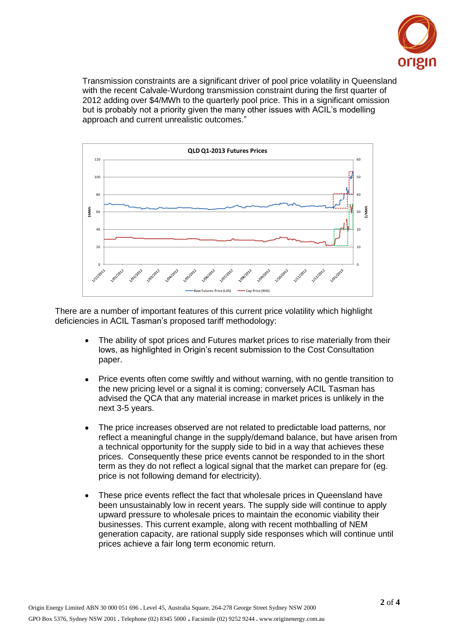

Transmission constraints are a significant driver of pool price volatility in Queensland with the recent Calvale-Wurdong transmission constraint during the first quarter of 2012 adding over \$4/MWh to the quarterly pool price. This in a significant omission but is probably not a priority given the many other issues with ACIL's modelling approach and current unrealistic outcomes."



There are a number of important features of this current price volatility which highlight deficiencies in ACIL Tasman's proposed tariff methodology:

- The ability of spot prices and Futures market prices to rise materially from their lows, as highlighted in Origin's recent submission to the Cost Consultation paper.
- Price events often come swiftly and without warning, with no gentle transition to the new pricing level or a signal it is coming; conversely ACIL Tasman has advised the QCA that any material increase in market prices is unlikely in the next 3-5 years.
- The price increases observed are not related to predictable load patterns, nor reflect a meaningful change in the supply/demand balance, but have arisen from a technical opportunity for the supply side to bid in a way that achieves these prices. Consequently these price events cannot be responded to in the short term as they do not reflect a logical signal that the market can prepare for (eg. price is not following demand for electricity).
- These price events reflect the fact that wholesale prices in Queensland have been unsustainably low in recent years. The supply side will continue to apply upward pressure to wholesale prices to maintain the economic viability their businesses. This current example, along with recent mothballing of NEM generation capacity, are rational supply side responses which will continue until prices achieve a fair long term economic return.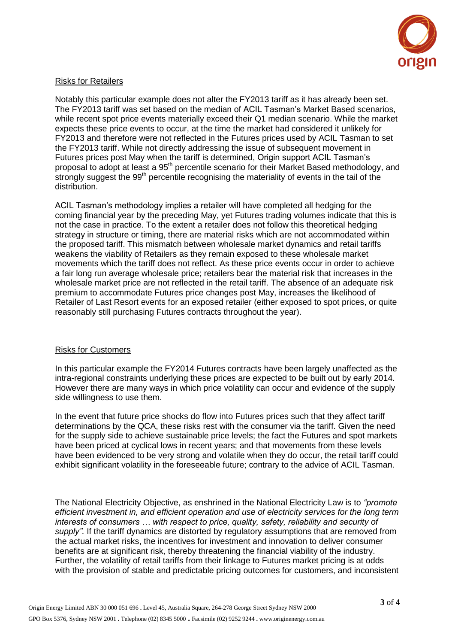

## Risks for Retailers

Notably this particular example does not alter the FY2013 tariff as it has already been set. The FY2013 tariff was set based on the median of ACIL Tasman's Market Based scenarios, while recent spot price events materially exceed their Q1 median scenario. While the market expects these price events to occur, at the time the market had considered it unlikely for FY2013 and therefore were not reflected in the Futures prices used by ACIL Tasman to set the FY2013 tariff. While not directly addressing the issue of subsequent movement in Futures prices post May when the tariff is determined, Origin support ACIL Tasman's proposal to adopt at least a 95<sup>th</sup> percentile scenario for their Market Based methodology, and strongly suggest the 99<sup>th</sup> percentile recognising the materiality of events in the tail of the distribution.

ACIL Tasman's methodology implies a retailer will have completed all hedging for the coming financial year by the preceding May, yet Futures trading volumes indicate that this is not the case in practice. To the extent a retailer does not follow this theoretical hedging strategy in structure or timing, there are material risks which are not accommodated within the proposed tariff. This mismatch between wholesale market dynamics and retail tariffs weakens the viability of Retailers as they remain exposed to these wholesale market movements which the tariff does not reflect. As these price events occur in order to achieve a fair long run average wholesale price; retailers bear the material risk that increases in the wholesale market price are not reflected in the retail tariff. The absence of an adequate risk premium to accommodate Futures price changes post May, increases the likelihood of Retailer of Last Resort events for an exposed retailer (either exposed to spot prices, or quite reasonably still purchasing Futures contracts throughout the year).

## Risks for Customers

In this particular example the FY2014 Futures contracts have been largely unaffected as the intra-regional constraints underlying these prices are expected to be built out by early 2014. However there are many ways in which price volatility can occur and evidence of the supply side willingness to use them.

In the event that future price shocks do flow into Futures prices such that they affect tariff determinations by the QCA, these risks rest with the consumer via the tariff. Given the need for the supply side to achieve sustainable price levels; the fact the Futures and spot markets have been priced at cyclical lows in recent years; and that movements from these levels have been evidenced to be very strong and volatile when they do occur, the retail tariff could exhibit significant volatility in the foreseeable future; contrary to the advice of ACIL Tasman.

The National Electricity Objective, as enshrined in the National Electricity Law is to *"promote efficient investment in, and efficient operation and use of electricity services for the long term interests of consumers … with respect to price, quality, safety, reliability and security of supply".* If the tariff dynamics are distorted by regulatory assumptions that are removed from the actual market risks, the incentives for investment and innovation to deliver consumer benefits are at significant risk, thereby threatening the financial viability of the industry. Further, the volatility of retail tariffs from their linkage to Futures market pricing is at odds with the provision of stable and predictable pricing outcomes for customers, and inconsistent